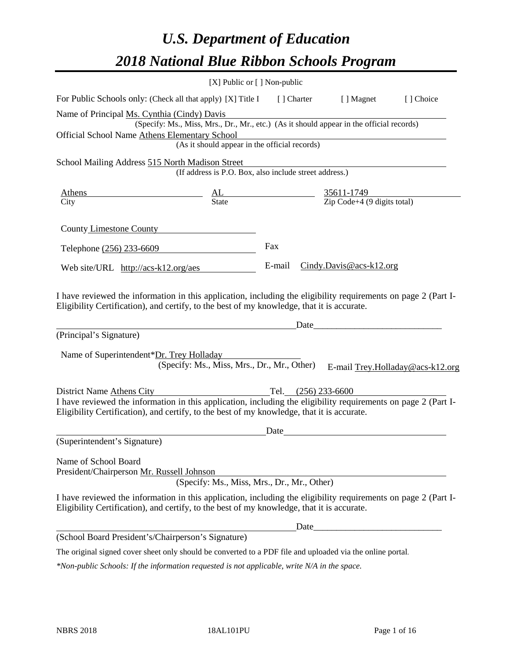# *U.S. Department of Education 2018 National Blue Ribbon Schools Program*

|                                                                                                                                                                                                                                                                                     | [X] Public or [] Non-public                                                                                                                                                                                                    |        |             |                                                         |                                  |
|-------------------------------------------------------------------------------------------------------------------------------------------------------------------------------------------------------------------------------------------------------------------------------------|--------------------------------------------------------------------------------------------------------------------------------------------------------------------------------------------------------------------------------|--------|-------------|---------------------------------------------------------|----------------------------------|
| For Public Schools only: (Check all that apply) [X] Title I                                                                                                                                                                                                                         |                                                                                                                                                                                                                                |        | [ ] Charter | [ ] Magnet                                              | [] Choice                        |
| Name of Principal Ms. Cynthia (Cindy) Davis<br>Official School Name Athens Elementary School                                                                                                                                                                                        | (Specify: Ms., Miss, Mrs., Dr., Mr., etc.) (As it should appear in the official records)<br>ementary School<br>(As it should appear in the official records)                                                                   |        |             |                                                         |                                  |
| School Mailing Address 515 North Madison Street                                                                                                                                                                                                                                     |                                                                                                                                                                                                                                |        |             |                                                         |                                  |
|                                                                                                                                                                                                                                                                                     | (If address is P.O. Box, also include street address.)                                                                                                                                                                         |        |             |                                                         |                                  |
| <b>Athens</b><br>City                                                                                                                                                                                                                                                               | and the same of the same of the same of the same of the same of the same of the same of the same of the same of the same of the same of the same of the same of the same of the same of the same of the same of the same of th |        |             | $\frac{35611-1749}{\text{Zip Code}+4 (9 digits total)}$ |                                  |
| County Limestone County                                                                                                                                                                                                                                                             |                                                                                                                                                                                                                                |        |             |                                                         |                                  |
| Telephone (256) 233-6609                                                                                                                                                                                                                                                            |                                                                                                                                                                                                                                | Fax    |             |                                                         |                                  |
| Web site/URL http://acs-k12.org/aes                                                                                                                                                                                                                                                 |                                                                                                                                                                                                                                | E-mail |             | $Cindy.Davis@acs-k12.org$                               |                                  |
| I have reviewed the information in this application, including the eligibility requirements on page 2 (Part I-<br>Eligibility Certification), and certify, to the best of my knowledge, that it is accurate.<br>(Principal's Signature)<br>Name of Superintendent*Dr. Trey Holladay | (Specify: Ms., Miss, Mrs., Dr., Mr., Other)                                                                                                                                                                                    |        | Date        |                                                         | E-mail Trey.Holladay@acs-k12.org |
| District Name Athens City                                                                                                                                                                                                                                                           |                                                                                                                                                                                                                                |        |             | Tel. (256) 233-6600                                     |                                  |
| I have reviewed the information in this application, including the eligibility requirements on page 2 (Part I-<br>Eligibility Certification), and certify, to the best of my knowledge, that it is accurate.                                                                        |                                                                                                                                                                                                                                |        |             |                                                         |                                  |
| (Superintendent's Signature)                                                                                                                                                                                                                                                        |                                                                                                                                                                                                                                | Date   |             |                                                         |                                  |
| Name of School Board<br>President/Chairperson Mr. Russell Johnson                                                                                                                                                                                                                   | (Specify: Ms., Miss, Mrs., Dr., Mr., Other)                                                                                                                                                                                    |        |             |                                                         |                                  |
| I have reviewed the information in this application, including the eligibility requirements on page 2 (Part I-<br>Eligibility Certification), and certify, to the best of my knowledge, that it is accurate.                                                                        |                                                                                                                                                                                                                                |        |             |                                                         |                                  |
|                                                                                                                                                                                                                                                                                     |                                                                                                                                                                                                                                |        |             |                                                         |                                  |
| (School Board President's/Chairperson's Signature)                                                                                                                                                                                                                                  |                                                                                                                                                                                                                                |        |             |                                                         |                                  |
| The original signed cover sheet only should be converted to a PDF file and uploaded via the online portal.                                                                                                                                                                          |                                                                                                                                                                                                                                |        |             |                                                         |                                  |

*\*Non-public Schools: If the information requested is not applicable, write N/A in the space.*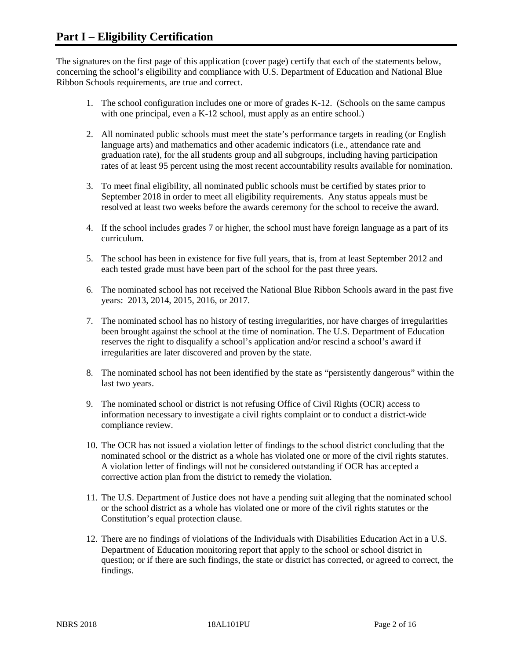The signatures on the first page of this application (cover page) certify that each of the statements below, concerning the school's eligibility and compliance with U.S. Department of Education and National Blue Ribbon Schools requirements, are true and correct.

- 1. The school configuration includes one or more of grades K-12. (Schools on the same campus with one principal, even a K-12 school, must apply as an entire school.)
- 2. All nominated public schools must meet the state's performance targets in reading (or English language arts) and mathematics and other academic indicators (i.e., attendance rate and graduation rate), for the all students group and all subgroups, including having participation rates of at least 95 percent using the most recent accountability results available for nomination.
- 3. To meet final eligibility, all nominated public schools must be certified by states prior to September 2018 in order to meet all eligibility requirements. Any status appeals must be resolved at least two weeks before the awards ceremony for the school to receive the award.
- 4. If the school includes grades 7 or higher, the school must have foreign language as a part of its curriculum.
- 5. The school has been in existence for five full years, that is, from at least September 2012 and each tested grade must have been part of the school for the past three years.
- 6. The nominated school has not received the National Blue Ribbon Schools award in the past five years: 2013, 2014, 2015, 2016, or 2017.
- 7. The nominated school has no history of testing irregularities, nor have charges of irregularities been brought against the school at the time of nomination. The U.S. Department of Education reserves the right to disqualify a school's application and/or rescind a school's award if irregularities are later discovered and proven by the state.
- 8. The nominated school has not been identified by the state as "persistently dangerous" within the last two years.
- 9. The nominated school or district is not refusing Office of Civil Rights (OCR) access to information necessary to investigate a civil rights complaint or to conduct a district-wide compliance review.
- 10. The OCR has not issued a violation letter of findings to the school district concluding that the nominated school or the district as a whole has violated one or more of the civil rights statutes. A violation letter of findings will not be considered outstanding if OCR has accepted a corrective action plan from the district to remedy the violation.
- 11. The U.S. Department of Justice does not have a pending suit alleging that the nominated school or the school district as a whole has violated one or more of the civil rights statutes or the Constitution's equal protection clause.
- 12. There are no findings of violations of the Individuals with Disabilities Education Act in a U.S. Department of Education monitoring report that apply to the school or school district in question; or if there are such findings, the state or district has corrected, or agreed to correct, the findings.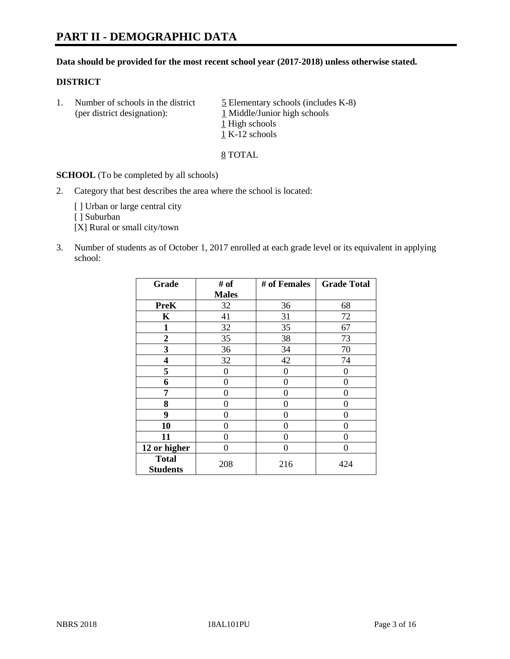#### **Data should be provided for the most recent school year (2017-2018) unless otherwise stated.**

#### **DISTRICT**

1. Number of schools in the district  $\frac{5}{2}$  Elementary schools (includes K-8) (per district designation): 1 Middle/Junior high schools 1 High schools 1 K-12 schools

8 TOTAL

**SCHOOL** (To be completed by all schools)

2. Category that best describes the area where the school is located:

[] Urban or large central city

[ ] Suburban

[X] Rural or small city/town

3. Number of students as of October 1, 2017 enrolled at each grade level or its equivalent in applying school:

| Grade                           | # of         | # of Females | <b>Grade Total</b> |
|---------------------------------|--------------|--------------|--------------------|
|                                 | <b>Males</b> |              |                    |
| <b>PreK</b>                     | 32           | 36           | 68                 |
| K                               | 41           | 31           | 72                 |
| $\mathbf{1}$                    | 32           | 35           | 67                 |
| $\boldsymbol{2}$                | 35           | 38           | 73                 |
| 3                               | 36           | 34           | 70                 |
| 4                               | 32           | 42           | 74                 |
| 5                               | $\theta$     | 0            | $\theta$           |
| 6                               | 0            | $\theta$     | 0                  |
| 7                               | 0            | $\theta$     | 0                  |
| 8                               | 0            | 0            | 0                  |
| 9                               | 0            | 0            | 0                  |
| 10                              | 0            | 0            | 0                  |
| 11                              | 0            | 0            | $\theta$           |
| 12 or higher                    | 0            | $\Omega$     | 0                  |
| <b>Total</b><br><b>Students</b> | 208          | 216          | 424                |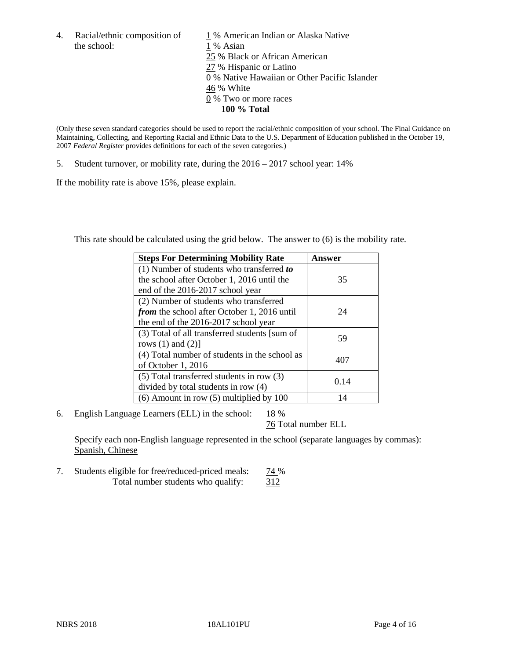the school: 1 % Asian

4. Racial/ethnic composition of  $1\%$  American Indian or Alaska Native 25 % Black or African American 27 % Hispanic or Latino 0 % Native Hawaiian or Other Pacific Islander 46 % White 0 % Two or more races **100 % Total**

(Only these seven standard categories should be used to report the racial/ethnic composition of your school. The Final Guidance on Maintaining, Collecting, and Reporting Racial and Ethnic Data to the U.S. Department of Education published in the October 19, 2007 *Federal Register* provides definitions for each of the seven categories.)

5. Student turnover, or mobility rate, during the 2016 – 2017 school year: 14%

If the mobility rate is above 15%, please explain.

This rate should be calculated using the grid below. The answer to (6) is the mobility rate.

| <b>Steps For Determining Mobility Rate</b>         | Answer |
|----------------------------------------------------|--------|
| (1) Number of students who transferred to          |        |
| the school after October 1, 2016 until the         | 35     |
| end of the 2016-2017 school year                   |        |
| (2) Number of students who transferred             |        |
| <i>from</i> the school after October 1, 2016 until | 24     |
| the end of the 2016-2017 school year               |        |
| (3) Total of all transferred students [sum of      | 59     |
| rows $(1)$ and $(2)$ ]                             |        |
| (4) Total number of students in the school as      |        |
| of October 1, 2016                                 | 407    |
| $(5)$ Total transferred students in row $(3)$      |        |
| divided by total students in row (4)               | 0.14   |
| $(6)$ Amount in row $(5)$ multiplied by 100        | 14     |

6. English Language Learners (ELL) in the school:  $18\%$ 

76 Total number ELL

Specify each non-English language represented in the school (separate languages by commas): Spanish, Chinese

7. Students eligible for free/reduced-priced meals: 74 % Total number students who qualify:  $\frac{312}{312}$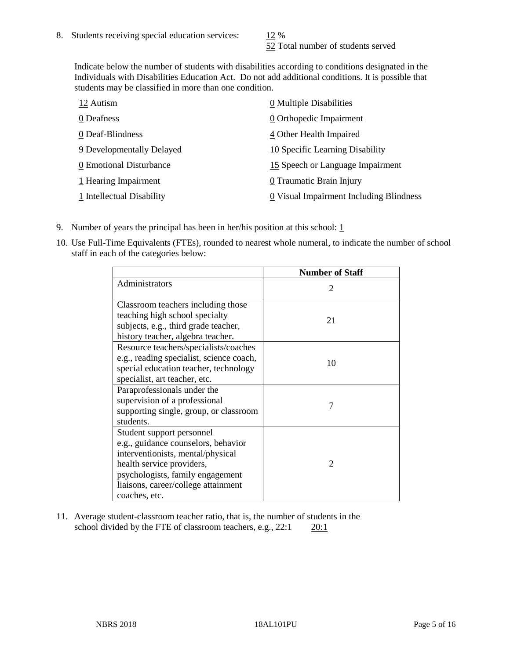52 Total number of students served

Indicate below the number of students with disabilities according to conditions designated in the Individuals with Disabilities Education Act. Do not add additional conditions. It is possible that students may be classified in more than one condition.

| 12 Autism                 | 0 Multiple Disabilities                 |
|---------------------------|-----------------------------------------|
| 0 Deafness                | 0 Orthopedic Impairment                 |
| 0 Deaf-Blindness          | 4 Other Health Impaired                 |
| 9 Developmentally Delayed | 10 Specific Learning Disability         |
| 0 Emotional Disturbance   | 15 Speech or Language Impairment        |
| 1 Hearing Impairment      | 0 Traumatic Brain Injury                |
| 1 Intellectual Disability | 0 Visual Impairment Including Blindness |

- 9. Number of years the principal has been in her/his position at this school:  $1$
- 10. Use Full-Time Equivalents (FTEs), rounded to nearest whole numeral, to indicate the number of school staff in each of the categories below:

|                                                                                                                                                                                                                                | <b>Number of Staff</b>      |
|--------------------------------------------------------------------------------------------------------------------------------------------------------------------------------------------------------------------------------|-----------------------------|
| Administrators                                                                                                                                                                                                                 | $\mathcal{D}_{\mathcal{L}}$ |
| Classroom teachers including those<br>teaching high school specialty<br>subjects, e.g., third grade teacher,<br>history teacher, algebra teacher.                                                                              | 21                          |
| Resource teachers/specialists/coaches<br>e.g., reading specialist, science coach,<br>special education teacher, technology<br>specialist, art teacher, etc.                                                                    | 10                          |
| Paraprofessionals under the<br>supervision of a professional<br>supporting single, group, or classroom<br>students.                                                                                                            | 7                           |
| Student support personnel<br>e.g., guidance counselors, behavior<br>interventionists, mental/physical<br>health service providers,<br>psychologists, family engagement<br>liaisons, career/college attainment<br>coaches, etc. | $\mathfrak{D}$              |

11. Average student-classroom teacher ratio, that is, the number of students in the school divided by the FTE of classroom teachers, e.g.,  $22:1$  20:1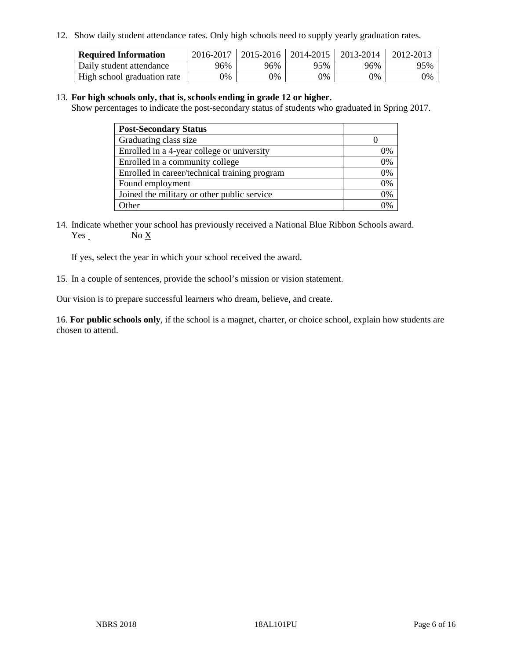12. Show daily student attendance rates. Only high schools need to supply yearly graduation rates.

| <b>Required Information</b> | 2016-2017 | $2015 - 2016$ | 2014-2015 | 2013-2014 | 2012-2013 |
|-----------------------------|-----------|---------------|-----------|-----------|-----------|
| Daily student attendance    | 96%       | 96%           | 95%       | 96%       | 95%       |
| High school graduation rate | 0%        | 0%            | 0%        | 9%        | 0%        |

#### 13. **For high schools only, that is, schools ending in grade 12 or higher.**

Show percentages to indicate the post-secondary status of students who graduated in Spring 2017.

| <b>Post-Secondary Status</b>                  |              |
|-----------------------------------------------|--------------|
| Graduating class size                         |              |
| Enrolled in a 4-year college or university    | 0%           |
| Enrolled in a community college               | 0%           |
| Enrolled in career/technical training program | 0%           |
| Found employment                              | 0%           |
| Joined the military or other public service   | 0%           |
| Other                                         | $\gamma_{0}$ |

14. Indicate whether your school has previously received a National Blue Ribbon Schools award. Yes No X

If yes, select the year in which your school received the award.

15. In a couple of sentences, provide the school's mission or vision statement.

Our vision is to prepare successful learners who dream, believe, and create.

16. **For public schools only**, if the school is a magnet, charter, or choice school, explain how students are chosen to attend.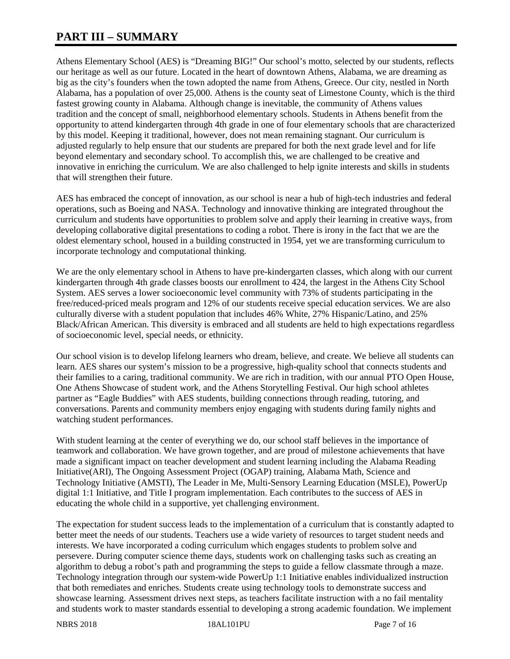## **PART III – SUMMARY**

Athens Elementary School (AES) is "Dreaming BIG!" Our school's motto, selected by our students, reflects our heritage as well as our future. Located in the heart of downtown Athens, Alabama, we are dreaming as big as the city's founders when the town adopted the name from Athens, Greece. Our city, nestled in North Alabama, has a population of over 25,000. Athens is the county seat of Limestone County, which is the third fastest growing county in Alabama. Although change is inevitable, the community of Athens values tradition and the concept of small, neighborhood elementary schools. Students in Athens benefit from the opportunity to attend kindergarten through 4th grade in one of four elementary schools that are characterized by this model. Keeping it traditional, however, does not mean remaining stagnant. Our curriculum is adjusted regularly to help ensure that our students are prepared for both the next grade level and for life beyond elementary and secondary school. To accomplish this, we are challenged to be creative and innovative in enriching the curriculum. We are also challenged to help ignite interests and skills in students that will strengthen their future.

AES has embraced the concept of innovation, as our school is near a hub of high-tech industries and federal operations, such as Boeing and NASA. Technology and innovative thinking are integrated throughout the curriculum and students have opportunities to problem solve and apply their learning in creative ways, from developing collaborative digital presentations to coding a robot. There is irony in the fact that we are the oldest elementary school, housed in a building constructed in 1954, yet we are transforming curriculum to incorporate technology and computational thinking.

We are the only elementary school in Athens to have pre-kindergarten classes, which along with our current kindergarten through 4th grade classes boosts our enrollment to 424, the largest in the Athens City School System. AES serves a lower socioeconomic level community with 73% of students participating in the free/reduced-priced meals program and 12% of our students receive special education services. We are also culturally diverse with a student population that includes 46% White, 27% Hispanic/Latino, and 25% Black/African American. This diversity is embraced and all students are held to high expectations regardless of socioeconomic level, special needs, or ethnicity.

Our school vision is to develop lifelong learners who dream, believe, and create. We believe all students can learn. AES shares our system's mission to be a progressive, high-quality school that connects students and their families to a caring, traditional community. We are rich in tradition, with our annual PTO Open House, One Athens Showcase of student work, and the Athens Storytelling Festival. Our high school athletes partner as "Eagle Buddies" with AES students, building connections through reading, tutoring, and conversations. Parents and community members enjoy engaging with students during family nights and watching student performances.

With student learning at the center of everything we do, our school staff believes in the importance of teamwork and collaboration. We have grown together, and are proud of milestone achievements that have made a significant impact on teacher development and student learning including the Alabama Reading Initiative(ARI), The Ongoing Assessment Project (OGAP) training, Alabama Math, Science and Technology Initiative (AMSTI), The Leader in Me, Multi-Sensory Learning Education (MSLE), PowerUp digital 1:1 Initiative, and Title I program implementation. Each contributes to the success of AES in educating the whole child in a supportive, yet challenging environment.

The expectation for student success leads to the implementation of a curriculum that is constantly adapted to better meet the needs of our students. Teachers use a wide variety of resources to target student needs and interests. We have incorporated a coding curriculum which engages students to problem solve and persevere. During computer science theme days, students work on challenging tasks such as creating an algorithm to debug a robot's path and programming the steps to guide a fellow classmate through a maze. Technology integration through our system-wide PowerUp 1:1 Initiative enables individualized instruction that both remediates and enriches. Students create using technology tools to demonstrate success and showcase learning. Assessment drives next steps, as teachers facilitate instruction with a no fail mentality and students work to master standards essential to developing a strong academic foundation. We implement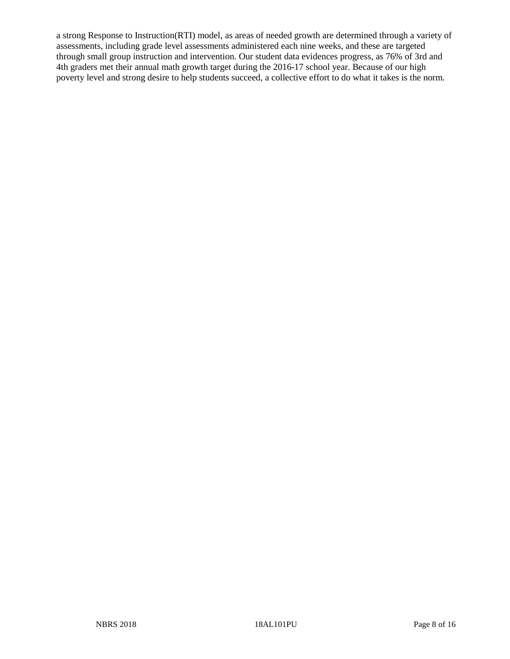a strong Response to Instruction(RTI) model, as areas of needed growth are determined through a variety of assessments, including grade level assessments administered each nine weeks, and these are targeted through small group instruction and intervention. Our student data evidences progress, as 76% of 3rd and 4th graders met their annual math growth target during the 2016-17 school year. Because of our high poverty level and strong desire to help students succeed, a collective effort to do what it takes is the norm.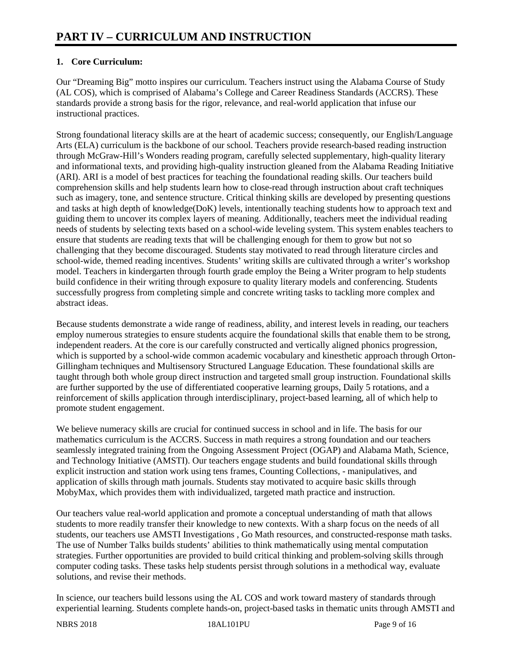## **1. Core Curriculum:**

Our "Dreaming Big" motto inspires our curriculum. Teachers instruct using the Alabama Course of Study (AL COS), which is comprised of Alabama's College and Career Readiness Standards (ACCRS). These standards provide a strong basis for the rigor, relevance, and real-world application that infuse our instructional practices.

Strong foundational literacy skills are at the heart of academic success; consequently, our English/Language Arts (ELA) curriculum is the backbone of our school. Teachers provide research-based reading instruction through McGraw-Hill's Wonders reading program, carefully selected supplementary, high-quality literary and informational texts, and providing high-quality instruction gleaned from the Alabama Reading Initiative (ARI). ARI is a model of best practices for teaching the foundational reading skills. Our teachers build comprehension skills and help students learn how to close-read through instruction about craft techniques such as imagery, tone, and sentence structure. Critical thinking skills are developed by presenting questions and tasks at high depth of knowledge(DoK) levels, intentionally teaching students how to approach text and guiding them to uncover its complex layers of meaning. Additionally, teachers meet the individual reading needs of students by selecting texts based on a school-wide leveling system. This system enables teachers to ensure that students are reading texts that will be challenging enough for them to grow but not so challenging that they become discouraged. Students stay motivated to read through literature circles and school-wide, themed reading incentives. Students' writing skills are cultivated through a writer's workshop model. Teachers in kindergarten through fourth grade employ the Being a Writer program to help students build confidence in their writing through exposure to quality literary models and conferencing. Students successfully progress from completing simple and concrete writing tasks to tackling more complex and abstract ideas.

Because students demonstrate a wide range of readiness, ability, and interest levels in reading, our teachers employ numerous strategies to ensure students acquire the foundational skills that enable them to be strong, independent readers. At the core is our carefully constructed and vertically aligned phonics progression, which is supported by a school-wide common academic vocabulary and kinesthetic approach through Orton-Gillingham techniques and Multisensory Structured Language Education. These foundational skills are taught through both whole group direct instruction and targeted small group instruction. Foundational skills are further supported by the use of differentiated cooperative learning groups, Daily 5 rotations, and a reinforcement of skills application through interdisciplinary, project-based learning, all of which help to promote student engagement.

We believe numeracy skills are crucial for continued success in school and in life. The basis for our mathematics curriculum is the ACCRS. Success in math requires a strong foundation and our teachers seamlessly integrated training from the Ongoing Assessment Project (OGAP) and Alabama Math, Science, and Technology Initiative (AMSTI). Our teachers engage students and build foundational skills through explicit instruction and station work using tens frames, Counting Collections, - manipulatives, and application of skills through math journals. Students stay motivated to acquire basic skills through MobyMax, which provides them with individualized, targeted math practice and instruction.

Our teachers value real-world application and promote a conceptual understanding of math that allows students to more readily transfer their knowledge to new contexts. With a sharp focus on the needs of all students, our teachers use AMSTI Investigations , Go Math resources, and constructed-response math tasks. The use of Number Talks builds students' abilities to think mathematically using mental computation strategies. Further opportunities are provided to build critical thinking and problem-solving skills through computer coding tasks. These tasks help students persist through solutions in a methodical way, evaluate solutions, and revise their methods.

In science, our teachers build lessons using the AL COS and work toward mastery of standards through experiential learning. Students complete hands-on, project-based tasks in thematic units through AMSTI and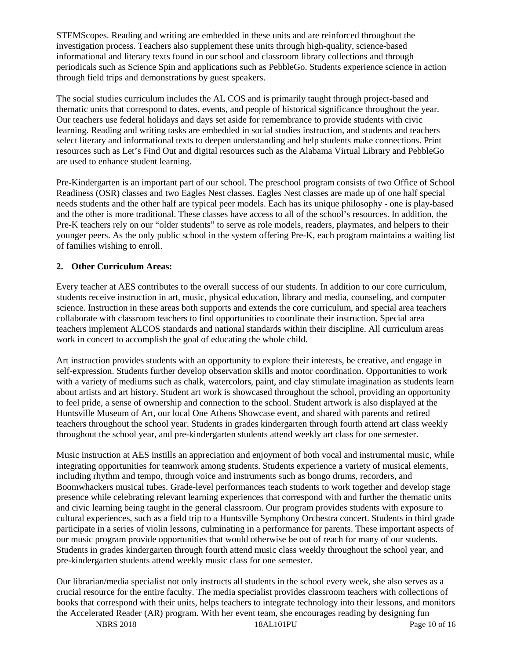STEMScopes. Reading and writing are embedded in these units and are reinforced throughout the investigation process. Teachers also supplement these units through high-quality, science-based informational and literary texts found in our school and classroom library collections and through periodicals such as Science Spin and applications such as PebbleGo. Students experience science in action through field trips and demonstrations by guest speakers.

The social studies curriculum includes the AL COS and is primarily taught through project-based and thematic units that correspond to dates, events, and people of historical significance throughout the year. Our teachers use federal holidays and days set aside for remembrance to provide students with civic learning. Reading and writing tasks are embedded in social studies instruction, and students and teachers select literary and informational texts to deepen understanding and help students make connections. Print resources such as Let's Find Out and digital resources such as the Alabama Virtual Library and PebbleGo are used to enhance student learning.

Pre-Kindergarten is an important part of our school. The preschool program consists of two Office of School Readiness (OSR) classes and two Eagles Nest classes. Eagles Nest classes are made up of one half special needs students and the other half are typical peer models. Each has its unique philosophy - one is play-based and the other is more traditional. These classes have access to all of the school's resources. In addition, the Pre-K teachers rely on our "older students" to serve as role models, readers, playmates, and helpers to their younger peers. As the only public school in the system offering Pre-K, each program maintains a waiting list of families wishing to enroll.

#### **2. Other Curriculum Areas:**

Every teacher at AES contributes to the overall success of our students. In addition to our core curriculum, students receive instruction in art, music, physical education, library and media, counseling, and computer science. Instruction in these areas both supports and extends the core curriculum, and special area teachers collaborate with classroom teachers to find opportunities to coordinate their instruction. Special area teachers implement ALCOS standards and national standards within their discipline. All curriculum areas work in concert to accomplish the goal of educating the whole child.

Art instruction provides students with an opportunity to explore their interests, be creative, and engage in self-expression. Students further develop observation skills and motor coordination. Opportunities to work with a variety of mediums such as chalk, watercolors, paint, and clay stimulate imagination as students learn about artists and art history. Student art work is showcased throughout the school, providing an opportunity to feel pride, a sense of ownership and connection to the school. Student artwork is also displayed at the Huntsville Museum of Art, our local One Athens Showcase event, and shared with parents and retired teachers throughout the school year. Students in grades kindergarten through fourth attend art class weekly throughout the school year, and pre-kindergarten students attend weekly art class for one semester.

Music instruction at AES instills an appreciation and enjoyment of both vocal and instrumental music, while integrating opportunities for teamwork among students. Students experience a variety of musical elements, including rhythm and tempo, through voice and instruments such as bongo drums, recorders, and Boomwhackers musical tubes. Grade-level performances teach students to work together and develop stage presence while celebrating relevant learning experiences that correspond with and further the thematic units and civic learning being taught in the general classroom. Our program provides students with exposure to cultural experiences, such as a field trip to a Huntsville Symphony Orchestra concert. Students in third grade participate in a series of violin lessons, culminating in a performance for parents. These important aspects of our music program provide opportunities that would otherwise be out of reach for many of our students. Students in grades kindergarten through fourth attend music class weekly throughout the school year, and pre-kindergarten students attend weekly music class for one semester.

Our librarian/media specialist not only instructs all students in the school every week, she also serves as a crucial resource for the entire faculty. The media specialist provides classroom teachers with collections of books that correspond with their units, helps teachers to integrate technology into their lessons, and monitors the Accelerated Reader (AR) program. With her event team, she encourages reading by designing fun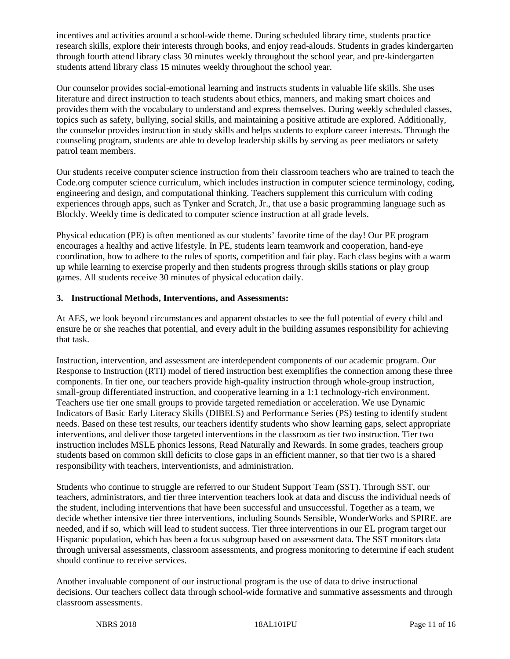incentives and activities around a school-wide theme. During scheduled library time, students practice research skills, explore their interests through books, and enjoy read-alouds. Students in grades kindergarten through fourth attend library class 30 minutes weekly throughout the school year, and pre-kindergarten students attend library class 15 minutes weekly throughout the school year.

Our counselor provides social-emotional learning and instructs students in valuable life skills. She uses literature and direct instruction to teach students about ethics, manners, and making smart choices and provides them with the vocabulary to understand and express themselves. During weekly scheduled classes, topics such as safety, bullying, social skills, and maintaining a positive attitude are explored. Additionally, the counselor provides instruction in study skills and helps students to explore career interests. Through the counseling program, students are able to develop leadership skills by serving as peer mediators or safety patrol team members.

Our students receive computer science instruction from their classroom teachers who are trained to teach the Code.org computer science curriculum, which includes instruction in computer science terminology, coding, engineering and design, and computational thinking. Teachers supplement this curriculum with coding experiences through apps, such as Tynker and Scratch, Jr., that use a basic programming language such as Blockly. Weekly time is dedicated to computer science instruction at all grade levels.

Physical education (PE) is often mentioned as our students' favorite time of the day! Our PE program encourages a healthy and active lifestyle. In PE, students learn teamwork and cooperation, hand-eye coordination, how to adhere to the rules of sports, competition and fair play. Each class begins with a warm up while learning to exercise properly and then students progress through skills stations or play group games. All students receive 30 minutes of physical education daily.

#### **3. Instructional Methods, Interventions, and Assessments:**

At AES, we look beyond circumstances and apparent obstacles to see the full potential of every child and ensure he or she reaches that potential, and every adult in the building assumes responsibility for achieving that task.

Instruction, intervention, and assessment are interdependent components of our academic program. Our Response to Instruction (RTI) model of tiered instruction best exemplifies the connection among these three components. In tier one, our teachers provide high-quality instruction through whole-group instruction, small-group differentiated instruction, and cooperative learning in a 1:1 technology-rich environment. Teachers use tier one small groups to provide targeted remediation or acceleration. We use Dynamic Indicators of Basic Early Literacy Skills (DIBELS) and Performance Series (PS) testing to identify student needs. Based on these test results, our teachers identify students who show learning gaps, select appropriate interventions, and deliver those targeted interventions in the classroom as tier two instruction. Tier two instruction includes MSLE phonics lessons, Read Naturally and Rewards. In some grades, teachers group students based on common skill deficits to close gaps in an efficient manner, so that tier two is a shared responsibility with teachers, interventionists, and administration.

Students who continue to struggle are referred to our Student Support Team (SST). Through SST, our teachers, administrators, and tier three intervention teachers look at data and discuss the individual needs of the student, including interventions that have been successful and unsuccessful. Together as a team, we decide whether intensive tier three interventions, including Sounds Sensible, WonderWorks and SPIRE. are needed, and if so, which will lead to student success. Tier three interventions in our EL program target our Hispanic population, which has been a focus subgroup based on assessment data. The SST monitors data through universal assessments, classroom assessments, and progress monitoring to determine if each student should continue to receive services.

Another invaluable component of our instructional program is the use of data to drive instructional decisions. Our teachers collect data through school-wide formative and summative assessments and through classroom assessments.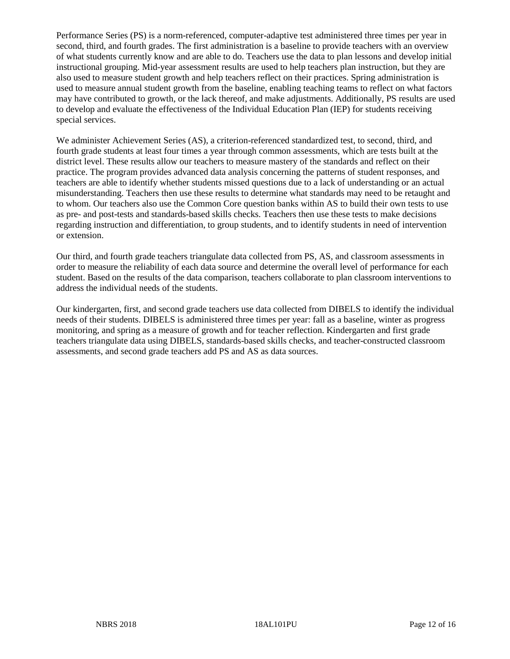Performance Series (PS) is a norm-referenced, computer-adaptive test administered three times per year in second, third, and fourth grades. The first administration is a baseline to provide teachers with an overview of what students currently know and are able to do. Teachers use the data to plan lessons and develop initial instructional grouping. Mid-year assessment results are used to help teachers plan instruction, but they are also used to measure student growth and help teachers reflect on their practices. Spring administration is used to measure annual student growth from the baseline, enabling teaching teams to reflect on what factors may have contributed to growth, or the lack thereof, and make adjustments. Additionally, PS results are used to develop and evaluate the effectiveness of the Individual Education Plan (IEP) for students receiving special services.

We administer Achievement Series (AS), a criterion-referenced standardized test, to second, third, and fourth grade students at least four times a year through common assessments, which are tests built at the district level. These results allow our teachers to measure mastery of the standards and reflect on their practice. The program provides advanced data analysis concerning the patterns of student responses, and teachers are able to identify whether students missed questions due to a lack of understanding or an actual misunderstanding. Teachers then use these results to determine what standards may need to be retaught and to whom. Our teachers also use the Common Core question banks within AS to build their own tests to use as pre- and post-tests and standards-based skills checks. Teachers then use these tests to make decisions regarding instruction and differentiation, to group students, and to identify students in need of intervention or extension.

Our third, and fourth grade teachers triangulate data collected from PS, AS, and classroom assessments in order to measure the reliability of each data source and determine the overall level of performance for each student. Based on the results of the data comparison, teachers collaborate to plan classroom interventions to address the individual needs of the students.

Our kindergarten, first, and second grade teachers use data collected from DIBELS to identify the individual needs of their students. DIBELS is administered three times per year: fall as a baseline, winter as progress monitoring, and spring as a measure of growth and for teacher reflection. Kindergarten and first grade teachers triangulate data using DIBELS, standards-based skills checks, and teacher-constructed classroom assessments, and second grade teachers add PS and AS as data sources.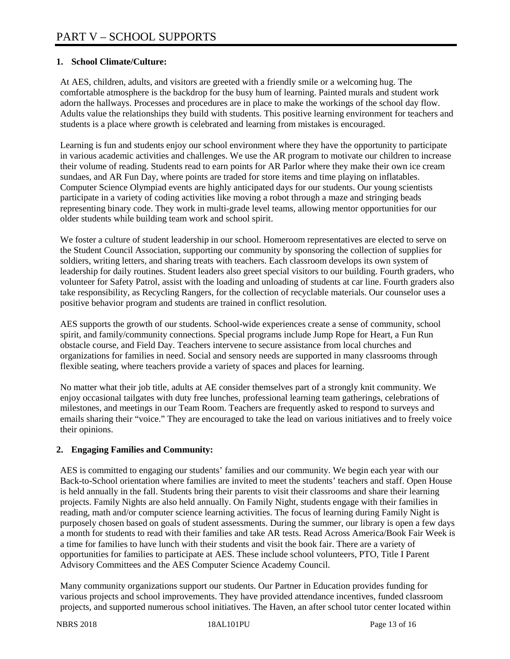#### **1. School Climate/Culture:**

At AES, children, adults, and visitors are greeted with a friendly smile or a welcoming hug. The comfortable atmosphere is the backdrop for the busy hum of learning. Painted murals and student work adorn the hallways. Processes and procedures are in place to make the workings of the school day flow. Adults value the relationships they build with students. This positive learning environment for teachers and students is a place where growth is celebrated and learning from mistakes is encouraged.

Learning is fun and students enjoy our school environment where they have the opportunity to participate in various academic activities and challenges. We use the AR program to motivate our children to increase their volume of reading. Students read to earn points for AR Parlor where they make their own ice cream sundaes, and AR Fun Day, where points are traded for store items and time playing on inflatables. Computer Science Olympiad events are highly anticipated days for our students. Our young scientists participate in a variety of coding activities like moving a robot through a maze and stringing beads representing binary code. They work in multi-grade level teams, allowing mentor opportunities for our older students while building team work and school spirit.

We foster a culture of student leadership in our school. Homeroom representatives are elected to serve on the Student Council Association, supporting our community by sponsoring the collection of supplies for soldiers, writing letters, and sharing treats with teachers. Each classroom develops its own system of leadership for daily routines. Student leaders also greet special visitors to our building. Fourth graders, who volunteer for Safety Patrol, assist with the loading and unloading of students at car line. Fourth graders also take responsibility, as Recycling Rangers, for the collection of recyclable materials. Our counselor uses a positive behavior program and students are trained in conflict resolution.

AES supports the growth of our students. School-wide experiences create a sense of community, school spirit, and family/community connections. Special programs include Jump Rope for Heart, a Fun Run obstacle course, and Field Day. Teachers intervene to secure assistance from local churches and organizations for families in need. Social and sensory needs are supported in many classrooms through flexible seating, where teachers provide a variety of spaces and places for learning.

No matter what their job title, adults at AE consider themselves part of a strongly knit community. We enjoy occasional tailgates with duty free lunches, professional learning team gatherings, celebrations of milestones, and meetings in our Team Room. Teachers are frequently asked to respond to surveys and emails sharing their "voice." They are encouraged to take the lead on various initiatives and to freely voice their opinions.

### **2. Engaging Families and Community:**

AES is committed to engaging our students' families and our community. We begin each year with our Back-to-School orientation where families are invited to meet the students' teachers and staff. Open House is held annually in the fall. Students bring their parents to visit their classrooms and share their learning projects. Family Nights are also held annually. On Family Night, students engage with their families in reading, math and/or computer science learning activities. The focus of learning during Family Night is purposely chosen based on goals of student assessments. During the summer, our library is open a few days a month for students to read with their families and take AR tests. Read Across America/Book Fair Week is a time for families to have lunch with their students and visit the book fair. There are a variety of opportunities for families to participate at AES. These include school volunteers, PTO, Title I Parent Advisory Committees and the AES Computer Science Academy Council.

Many community organizations support our students. Our Partner in Education provides funding for various projects and school improvements. They have provided attendance incentives, funded classroom projects, and supported numerous school initiatives. The Haven, an after school tutor center located within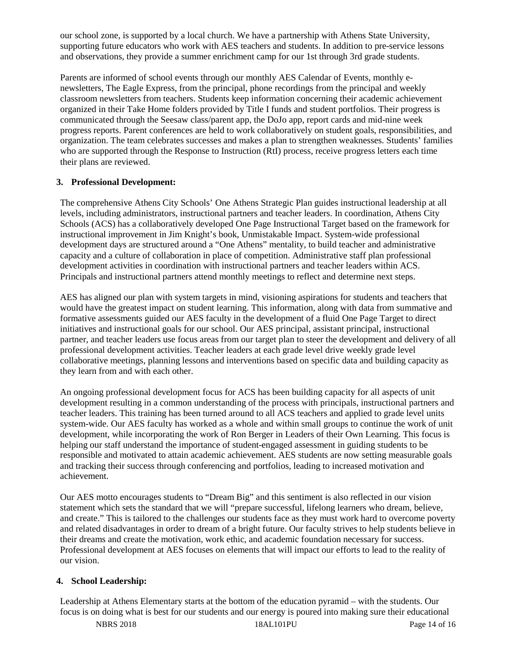our school zone, is supported by a local church. We have a partnership with Athens State University, supporting future educators who work with AES teachers and students. In addition to pre-service lessons and observations, they provide a summer enrichment camp for our 1st through 3rd grade students.

Parents are informed of school events through our monthly AES Calendar of Events, monthly enewsletters, The Eagle Express, from the principal, phone recordings from the principal and weekly classroom newsletters from teachers. Students keep information concerning their academic achievement organized in their Take Home folders provided by Title I funds and student portfolios. Their progress is communicated through the Seesaw class/parent app, the DoJo app, report cards and mid-nine week progress reports. Parent conferences are held to work collaboratively on student goals, responsibilities, and organization. The team celebrates successes and makes a plan to strengthen weaknesses. Students' families who are supported through the Response to Instruction (RtI) process, receive progress letters each time their plans are reviewed.

#### **3. Professional Development:**

The comprehensive Athens City Schools' One Athens Strategic Plan guides instructional leadership at all levels, including administrators, instructional partners and teacher leaders. In coordination, Athens City Schools (ACS) has a collaboratively developed One Page Instructional Target based on the framework for instructional improvement in Jim Knight's book, Unmistakable Impact. System-wide professional development days are structured around a "One Athens" mentality, to build teacher and administrative capacity and a culture of collaboration in place of competition. Administrative staff plan professional development activities in coordination with instructional partners and teacher leaders within ACS. Principals and instructional partners attend monthly meetings to reflect and determine next steps.

AES has aligned our plan with system targets in mind, visioning aspirations for students and teachers that would have the greatest impact on student learning. This information, along with data from summative and formative assessments guided our AES faculty in the development of a fluid One Page Target to direct initiatives and instructional goals for our school. Our AES principal, assistant principal, instructional partner, and teacher leaders use focus areas from our target plan to steer the development and delivery of all professional development activities. Teacher leaders at each grade level drive weekly grade level collaborative meetings, planning lessons and interventions based on specific data and building capacity as they learn from and with each other.

An ongoing professional development focus for ACS has been building capacity for all aspects of unit development resulting in a common understanding of the process with principals, instructional partners and teacher leaders. This training has been turned around to all ACS teachers and applied to grade level units system-wide. Our AES faculty has worked as a whole and within small groups to continue the work of unit development, while incorporating the work of Ron Berger in Leaders of their Own Learning. This focus is helping our staff understand the importance of student-engaged assessment in guiding students to be responsible and motivated to attain academic achievement. AES students are now setting measurable goals and tracking their success through conferencing and portfolios, leading to increased motivation and achievement.

Our AES motto encourages students to "Dream Big" and this sentiment is also reflected in our vision statement which sets the standard that we will "prepare successful, lifelong learners who dream, believe, and create." This is tailored to the challenges our students face as they must work hard to overcome poverty and related disadvantages in order to dream of a bright future. Our faculty strives to help students believe in their dreams and create the motivation, work ethic, and academic foundation necessary for success. Professional development at AES focuses on elements that will impact our efforts to lead to the reality of our vision.

### **4. School Leadership:**

Leadership at Athens Elementary starts at the bottom of the education pyramid – with the students. Our focus is on doing what is best for our students and our energy is poured into making sure their educational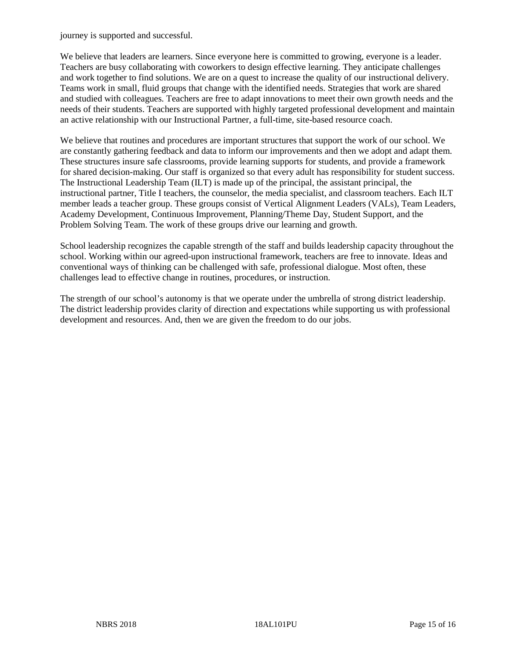journey is supported and successful.

We believe that leaders are learners. Since everyone here is committed to growing, everyone is a leader. Teachers are busy collaborating with coworkers to design effective learning. They anticipate challenges and work together to find solutions. We are on a quest to increase the quality of our instructional delivery. Teams work in small, fluid groups that change with the identified needs. Strategies that work are shared and studied with colleagues. Teachers are free to adapt innovations to meet their own growth needs and the needs of their students. Teachers are supported with highly targeted professional development and maintain an active relationship with our Instructional Partner, a full-time, site-based resource coach.

We believe that routines and procedures are important structures that support the work of our school. We are constantly gathering feedback and data to inform our improvements and then we adopt and adapt them. These structures insure safe classrooms, provide learning supports for students, and provide a framework for shared decision-making. Our staff is organized so that every adult has responsibility for student success. The Instructional Leadership Team (ILT) is made up of the principal, the assistant principal, the instructional partner, Title I teachers, the counselor, the media specialist, and classroom teachers. Each ILT member leads a teacher group. These groups consist of Vertical Alignment Leaders (VALs), Team Leaders, Academy Development, Continuous Improvement, Planning/Theme Day, Student Support, and the Problem Solving Team. The work of these groups drive our learning and growth.

School leadership recognizes the capable strength of the staff and builds leadership capacity throughout the school. Working within our agreed-upon instructional framework, teachers are free to innovate. Ideas and conventional ways of thinking can be challenged with safe, professional dialogue. Most often, these challenges lead to effective change in routines, procedures, or instruction.

The strength of our school's autonomy is that we operate under the umbrella of strong district leadership. The district leadership provides clarity of direction and expectations while supporting us with professional development and resources. And, then we are given the freedom to do our jobs.